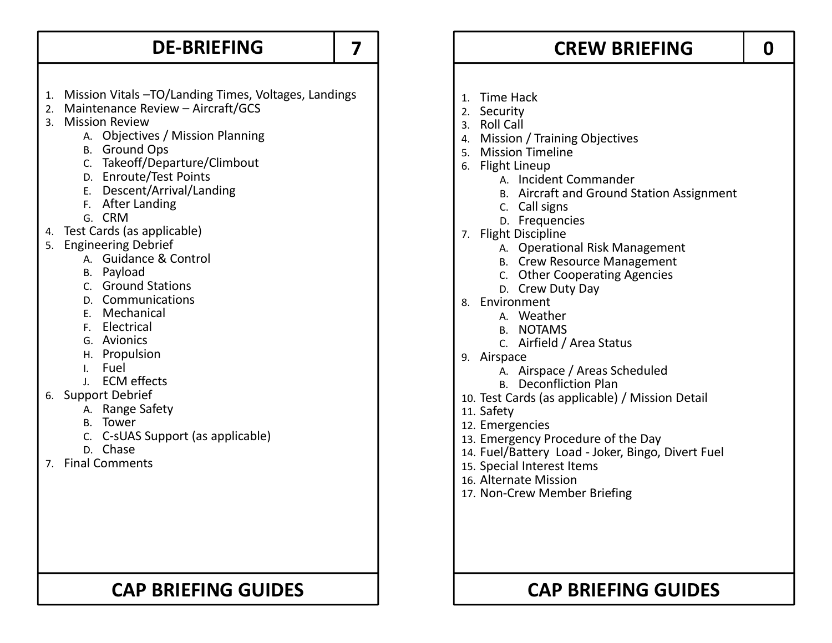### **DE‐BRIEFING**

- 1. Mission Vitals –TO/Landing Times, Voltages, Landings
- 2. Maintenance Review Aircraft/GCS
- 3. Mission Review
	- A. Objectives / Mission Planning
	- B. Ground Ops
	- C. Takeoff/Departure/Climbout
	- D. Enroute/Test Points
	- E. Descent/Arrival/Landing
	- F. After Landing
	- G. CRM
- 4. Test Cards (as applicable)
- 5. Engineering Debrief
	- A. Guidance & Control
	- B. Payload
	- C. Ground Stations
	- D. Communications
	- E. Mechanical
	- F. Electrical
	- G. Avionics
	- H. Propulsion
	- I. Fuel
	- J. ECM effects
- 6. Support Debrief
	- A. Range Safety
	- B. Tower
	- C. C‐sUAS Support (as applicable)
	- D. Chase
- 7. Final Comments

# **7 0 CREW BRIEFING**

- 1. Time Hack
- 2. Security
- 3. Roll Call
- 4. Mission / Training Objectives
- 5. Mission Timeline
- 6. Flight Lineup
	- A. Incident Commander
	- B. Aircraft and Ground Station Assignment
	- C. Call signs
	- D. Frequencies
- 7. Flight Discipline
	- A. Operational Risk Management
	- B. Crew Resource Management
	- C. Other Cooperating Agencies
	- D. Crew Duty Day
- 8. Environment
	- A. Weather
	- B. NOTAMS
	- C. Airfield / Area Status
- 9. Airspace
	- A. Airspace / Areas Scheduled
	- B. Deconfliction Plan
- 10. Test Cards (as applicable) / Mission Detail
- 11. Safety
- 12. Emergencies
- 13. Emergency Procedure of the Day
- 14. Fuel/Battery Load ‐ Joker, Bingo, Divert Fuel
- 15. Special Interest Items
- 16. Alternate Mission
- 17. Non‐Crew Member Briefing

### **CAP BRIEFING GUIDES CAP BRIEFING GUIDES**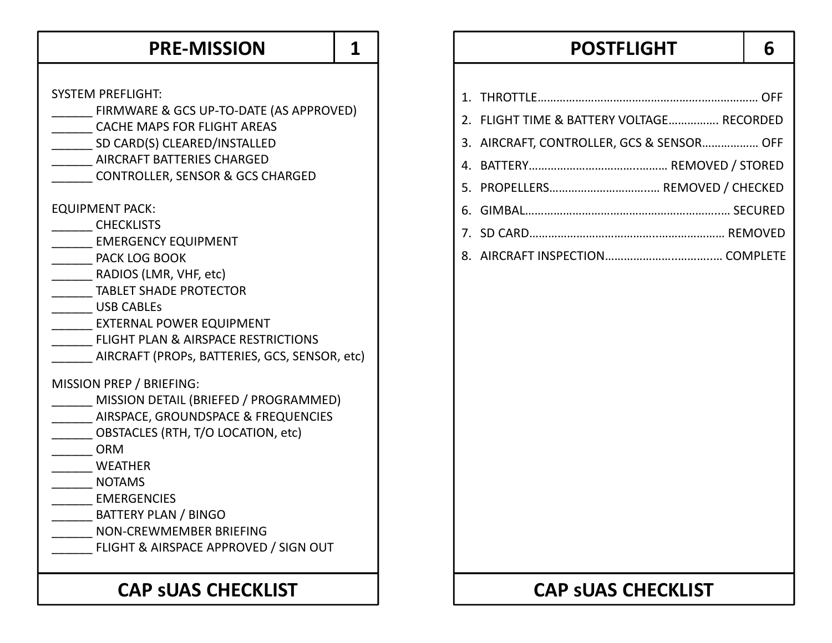## **PRE‐MISSION**

| FIRMWARE & GCS UP-TO-DATE (AS APPROVED)<br>CACHE MAPS FOR FLIGHT AREAS<br>_________ SD CARD(S) CLEARED/INSTALLED<br>_ AIRCRAFT BATTERIES CHARGED                                                                                                                                                                                |  |
|---------------------------------------------------------------------------------------------------------------------------------------------------------------------------------------------------------------------------------------------------------------------------------------------------------------------------------|--|
| <b>CONTROLLER, SENSOR &amp; GCS CHARGED</b>                                                                                                                                                                                                                                                                                     |  |
| <b>EQUIPMENT PACK:</b><br><b>CHECKLISTS</b><br><b>EMERGENCY EQUIPMENT</b><br>PACK LOG BOOK<br>_________ RADIOS (LMR, VHF, etc)<br><b>TABLET SHADE PROTECTOR</b><br>_USB CABLES<br><b>EXTERNAL POWER EQUIPMENT</b><br>_____ FLIGHT PLAN & AIRSPACE RESTRICTIONS<br>AIRCRAFT (PROPs, BATTERIES, GCS, SENSOR, etc)                 |  |
| MISSION PREP / BRIEFING:<br>MISSION DETAIL (BRIEFED / PROGRAMMED)<br>AIRSPACE, GROUNDSPACE & FREQUENCIES<br>OBSTACLES (RTH, T/O LOCATION, etc)<br>$\overline{\phantom{0}}$ ORM<br>WEATHER<br>____ NOTAMS<br><b>EMERGENCIES</b><br>$\_$ BATTERY PLAN / BINGO<br>NON-CREWMEMBER BRIEFING<br>FLIGHT & AIRSPACE APPROVED / SIGN OUT |  |
|                                                                                                                                                                                                                                                                                                                                 |  |

## **1 6 POSTFLIGHT**

| <b>CAP SUAS CHECKLIST</b>                                                                                                                                                                                                                                                                                   | <b>CAP SUAS CHECKLIST</b>                                                              |
|-------------------------------------------------------------------------------------------------------------------------------------------------------------------------------------------------------------------------------------------------------------------------------------------------------------|----------------------------------------------------------------------------------------|
| <b>REP / BRIEFING:</b><br>SION DETAIL (BRIEFED / PROGRAMMED)<br>SPACE, GROUNDSPACE & FREQUENCIES<br><b>STACLES (RTH, T/O LOCATION, etc)</b><br>VI.<br>ATHER<br><b>TAMS</b><br><b>ERGENCIES</b><br><b>TERY PLAN / BINGO</b><br><b>N-CREWMEMBER BRIEFING</b><br><b>GHT &amp; AIRSPACE APPROVED / SIGN OUT</b> |                                                                                        |
| T PACK:<br><b>CKLISTS</b><br><b>ERGENCY EQUIPMENT</b><br><b>K LOG BOOK</b><br><b>DIOS (LMR, VHF, etc)</b><br><b>LET SHADE PROTECTOR</b><br><b>CABLES</b><br><b>ERNAL POWER EQUIPMENT</b><br><b>GHT PLAN &amp; AIRSPACE RESTRICTIONS</b><br>CRAFT (PROPs, BATTERIES, GCS, SENSOR, etc)                       |                                                                                        |
| <b>EFLIGHT:</b><br><b>MWARE &amp; GCS UP-TO-DATE (AS APPROVED)</b><br><b>HE MAPS FOR FLIGHT AREAS</b><br>CARD(S) CLEARED/INSTALLED<br><b>CRAFT BATTERIES CHARGED</b><br><b>NTROLLER, SENSOR &amp; GCS CHARGED</b>                                                                                           | 2. FLIGHT TIME & BATTERY VOLTAGE RECORDED<br>3. AIRCRAFT, CONTROLLER, GCS & SENSOR OFF |
|                                                                                                                                                                                                                                                                                                             |                                                                                        |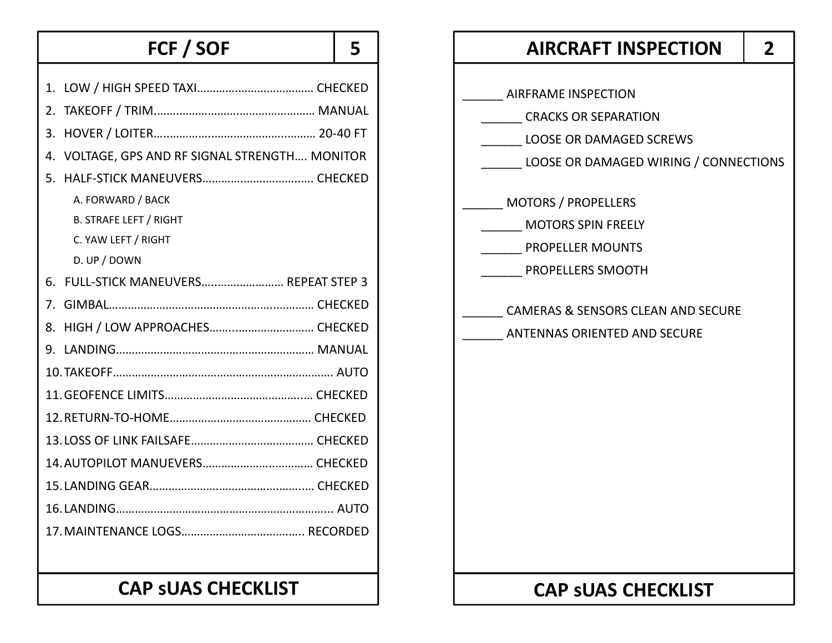| $1_{\cdot}$                                       |
|---------------------------------------------------|
| 2.                                                |
| 3.                                                |
| VOLTAGE, GPS AND RF SIGNAL STRENGTH MONITOR<br>4. |
| 5.                                                |
| A. FORWARD / BACK                                 |
| <b>B. STRAFE LEFT / RIGHT</b>                     |
| C. YAW LEFT / RIGHT                               |
| D. UP / DOWN                                      |
| FULL-STICK MANEUVERS REPEAT STEP 3<br>6.          |
| $7^{\circ}$                                       |
| 8.                                                |
|                                                   |
|                                                   |
|                                                   |
|                                                   |
|                                                   |
|                                                   |
|                                                   |
|                                                   |
|                                                   |
|                                                   |

### **CAP sUAS CHECKLIST**